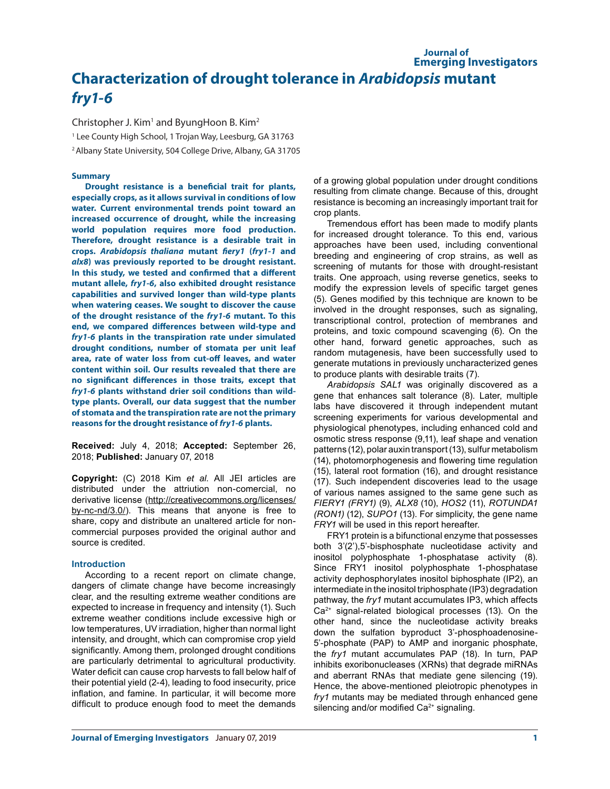# **Journal of Emerging Investigators Characterization of drought tolerance in** *Arabidopsis* **mutant**  *fry1-6*

Christopher J. Kim<sup>1</sup> and ByungHoon B. Kim<sup>2</sup>

1 Lee County High School, 1 Trojan Way, Leesburg, GA 31763

2 Albany State University, 504 College Drive, Albany, GA 31705

# **Summary**

**Drought resistance is a beneficial trait for plants, especially crops, as it allows survival in conditions of low water. Current environmental trends point toward an increased occurrence of drought, while the increasing world population requires more food production. Therefore, drought resistance is a desirable trait in crops.** *Arabidopsis thaliana* **mutant** *fiery1* **(***fry1-1* **and**  *alx8***) was previously reported to be drought resistant. In this study, we tested and confirmed that a different mutant allele,** *fry1-6***, also exhibited drought resistance capabilities and survived longer than wild-type plants when watering ceases. We sought to discover the cause of the drought resistance of the** *fry1-6* **mutant. To this end, we compared differences between wild-type and**  *fry1-6* **plants in the transpiration rate under simulated drought conditions, number of stomata per unit leaf area, rate of water loss from cut-off leaves, and water content within soil. Our results revealed that there are no significant differences in those traits, except that**  *fry1-6* **plants withstand drier soil conditions than wildtype plants. Overall, our data suggest that the number of stomata and the transpiration rate are not the primary reasons for the drought resistance of** *fry1-6* **plants.**

**Received:** July 4, 2018; **Accepted:** September 26, 2018; **Published:** January 07, 2018

**Copyright:** (C) 2018 Kim *et al*. All JEI articles are distributed under the attriution non-comercial, no derivative license (http://creativecommons.org/licenses/ by-nc-nd/3.0/). This means that anyone is free to share, copy and distribute an unaltered article for noncommercial purposes provided the original author and source is credited.

### **Introduction**

According to a recent report on climate change, dangers of climate change have become increasingly clear, and the resulting extreme weather conditions are expected to increase in frequency and intensity (1). Such extreme weather conditions include excessive high or low temperatures, UV irradiation, higher than normal light intensity, and drought, which can compromise crop yield significantly. Among them, prolonged drought conditions are particularly detrimental to agricultural productivity. Water deficit can cause crop harvests to fall below half of their potential yield (2-4), leading to food insecurity, price inflation, and famine. In particular, it will become more difficult to produce enough food to meet the demands

of a growing global population under drought conditions resulting from climate change. Because of this, drought resistance is becoming an increasingly important trait for crop plants.

Tremendous effort has been made to modify plants for increased drought tolerance. To this end, various approaches have been used, including conventional breeding and engineering of crop strains, as well as screening of mutants for those with drought-resistant traits. One approach, using reverse genetics, seeks to modify the expression levels of specific target genes (5). Genes modified by this technique are known to be involved in the drought responses, such as signaling, transcriptional control, protection of membranes and proteins, and toxic compound scavenging (6). On the other hand, forward genetic approaches, such as random mutagenesis, have been successfully used to generate mutations in previously uncharacterized genes to produce plants with desirable traits (7).

*Arabidopsis SAL1* was originally discovered as a gene that enhances salt tolerance (8). Later, multiple labs have discovered it through independent mutant screening experiments for various developmental and physiological phenotypes, including enhanced cold and osmotic stress response (9,11), leaf shape and venation patterns (12), polar auxin transport (13), sulfur metabolism (14), photomorphogenesis and flowering time regulation (15), lateral root formation (16), and drought resistance (17). Such independent discoveries lead to the usage of various names assigned to the same gene such as *FIERY1 (FRY1)* (9), *ALX8* (10), *HOS2* (11), *ROTUNDA1 (RON1)* (12), *SUPO1* (13). For simplicity, the gene name *FRY1* will be used in this report hereafter.

FRY1 protein is a bifunctional enzyme that possesses both 3'(2'),5'-bisphosphate nucleotidase activity and inositol polyphosphate 1-phosphatase activity (8). Since FRY1 inositol polyphosphate 1-phosphatase activity dephosphorylates inositol biphosphate (IP2), an intermediate in the inositol triphosphate (IP3) degradation pathway, the *fry1* mutant accumulates IP3, which affects  $Ca<sup>2+</sup>$  signal-related biological processes (13). On the other hand, since the nucleotidase activity breaks down the sulfation byproduct 3'-phosphoadenosine-5'-phosphate (PAP) to AMP and inorganic phosphate, the *fry1* mutant accumulates PAP (18). In turn, PAP inhibits exoribonucleases (XRNs) that degrade miRNAs and aberrant RNAs that mediate gene silencing (19). Hence, the above-mentioned pleiotropic phenotypes in *fry1* mutants may be mediated through enhanced gene silencing and/or modified Ca<sup>2+</sup> signaling.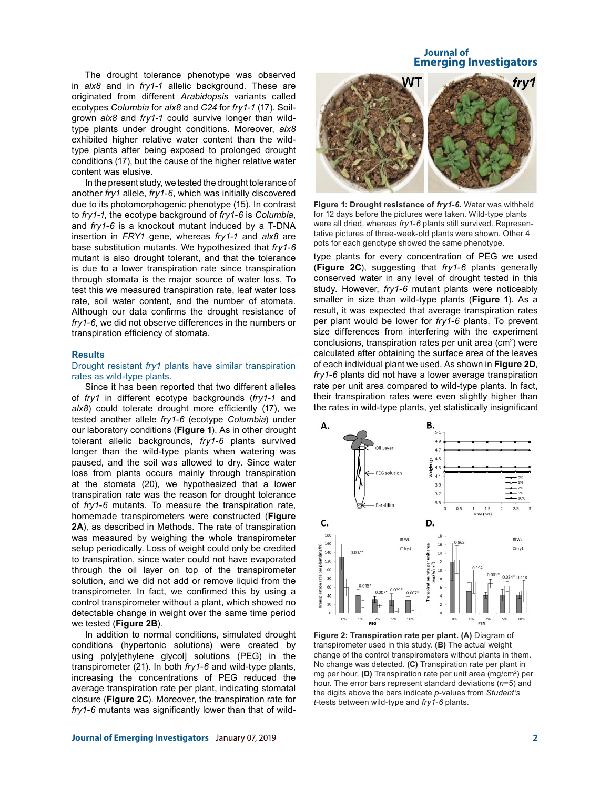The drought tolerance phenotype was observed in *alx8* and in *fry1-1* allelic background. These are originated from different *Arabidopsis* variants called ecotypes *Columbia* for *alx8* and *C24* for *fry1-1* (17). Soilgrown *alx8* and *fry1-1* could survive longer than wildtype plants under drought conditions. Moreover, *alx8* exhibited higher relative water content than the wildtype plants after being exposed to prolonged drought conditions (17), but the cause of the higher relative water content was elusive.

In the present study, we tested the drought tolerance of another *fry1* allele, *fry1-6*, which was initially discovered due to its photomorphogenic phenotype (15). In contrast to *fry1-1*, the ecotype background of *fry1-6* is *Columbia*, and *fry1-6* is a knockout mutant induced by a T-DNA insertion in *FRY1* gene, whereas *fry1-1* and *alx8* are base substitution mutants. We hypothesized that *fry1-6*  mutant is also drought tolerant, and that the tolerance is due to a lower transpiration rate since transpiration through stomata is the major source of water loss. To test this we measured transpiration rate, leaf water loss rate, soil water content, and the number of stomata. Although our data confirms the drought resistance of *fry1-6*, we did not observe differences in the numbers or transpiration efficiency of stomata.

### **Results**

# Drought resistant *fry1* plants have similar transpiration rates as wild-type plants.

Since it has been reported that two different alleles of *fry1* in different ecotype backgrounds (*fry1-1* and alx8) could tolerate drought more efficiently (17), we tested another allele *fry1-6* (ecotype *Columbia*) under our laboratory conditions (**Figure 1**). As in other drought tolerant allelic backgrounds, *fry1-6* plants survived longer than the wild-type plants when watering was paused, and the soil was allowed to dry. Since water loss from plants occurs mainly through transpiration at the stomata (20), we hypothesized that a lower transpiration rate was the reason for drought tolerance of *fry1-6* mutants. To measure the transpiration rate, homemade transpirometers were constructed (**Figure 2A**), as described in Methods. The rate of transpiration was measured by weighing the whole transpirometer setup periodically. Loss of weight could only be credited to transpiration, since water could not have evaporated through the oil layer on top of the transpirometer solution, and we did not add or remove liquid from the transpirometer. In fact, we confirmed this by using a control transpirometer without a plant, which showed no detectable change in weight over the same time period we tested (**Figure 2B**).

In addition to normal conditions, simulated drought conditions (hypertonic solutions) were created by using poly[ethylene glycol] solutions (PEG) in the transpirometer (21). In both *fry1-6* and wild-type plants, increasing the concentrations of PEG reduced the average transpiration rate per plant, indicating stomatal closure (**Figure 2C**). Moreover, the transpiration rate for *fry1-6* mutants was significantly lower than that of wild-

# **Journal of Emerging Investigators**



**Figure 1: Drought resistance of** *fry1-6***.** Water was withheld for 12 days before the pictures were taken. Wild-type plants were all dried, whereas *fry1-6* plants still survived. Representative pictures of three-week-old plants were shown. Other 4 pots for each genotype showed the same phenotype.

type plants for every concentration of PEG we used (**Figure 2C**), suggesting that *fry1-6* plants generally conserved water in any level of drought tested in this study. However, *fry1-6* mutant plants were noticeably smaller in size than wild-type plants (**Figure 1**). As a result, it was expected that average transpiration rates per plant would be lower for *fry1-6* plants. To prevent size differences from interfering with the experiment conclusions, transpiration rates per unit area (cm<sup>2</sup>) were calculated after obtaining the surface area of the leaves of each individual plant we used. As shown in **Figure 2D**, *fry1-6* plants did not have a lower average transpiration rate per unit area compared to wild-type plants. In fact, their transpiration rates were even slightly higher than the rates in wild-type plants, yet statistically insignificant



**Figure 2: Transpiration rate per plant. (A)** Diagram of transpirometer used in this study. **(B)** The actual weight change of the control transpirometers without plants in them. No change was detected. **(C)** Transpiration rate per plant in mg per hour. **(D)** Transpiration rate per unit area (mg/cm2 ) per hour. The error bars represent standard deviations (*n*=5) and the digits above the bars indicate *p*-values from *Student's t*-tests between wild-type and *fry1-6* plants.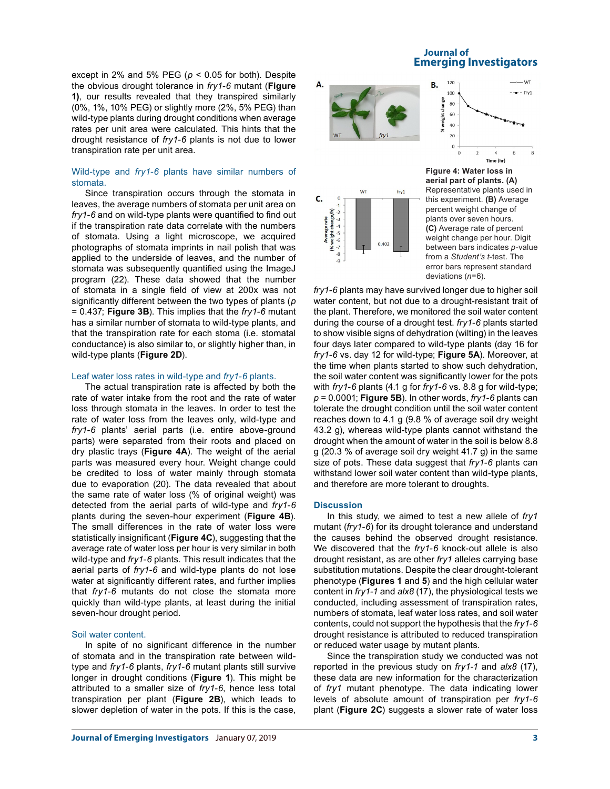except in 2% and 5% PEG ( $p < 0.05$  for both). Despite the obvious drought tolerance in *fry1-6* mutant (**Figure 1)**, our results revealed that they transpired similarly (0%, 1%, 10% PEG) or slightly more (2%, 5% PEG) than wild-type plants during drought conditions when average rates per unit area were calculated. This hints that the drought resistance of *fry1-6* plants is not due to lower transpiration rate per unit area.

# Wild-type and *fry1-6* plants have similar numbers of stomata.

Since transpiration occurs through the stomata in leaves, the average numbers of stomata per unit area on *fry1-6* and on wild-type plants were quantified to find out if the transpiration rate data correlate with the numbers of stomata. Using a light microscope, we acquired photographs of stomata imprints in nail polish that was applied to the underside of leaves, and the number of stomata was subsequently quantified using the ImageJ program (22). These data showed that the number of stomata in a single field of view at 200x was not significantly different between the two types of plants (*p* = 0.437; **Figure 3B**). This implies that the *fry1-6* mutant has a similar number of stomata to wild-type plants, and that the transpiration rate for each stoma (i.e. stomatal conductance) is also similar to, or slightly higher than, in wild-type plants (**Figure 2D**).

### Leaf water loss rates in wild-type and *fry1-6* plants.

The actual transpiration rate is affected by both the rate of water intake from the root and the rate of water loss through stomata in the leaves. In order to test the rate of water loss from the leaves only, wild-type and *fry1-6* plants' aerial parts (i.e. entire above-ground parts) were separated from their roots and placed on dry plastic trays (**Figure 4A**). The weight of the aerial parts was measured every hour. Weight change could be credited to loss of water mainly through stomata due to evaporation (20). The data revealed that about the same rate of water loss (% of original weight) was detected from the aerial parts of wild-type and *fry1-6* plants during the seven-hour experiment (**Figure 4B**). The small differences in the rate of water loss were statistically insignificant (**Figure 4C**), suggesting that the average rate of water loss per hour is very similar in both wild-type and *fry1-6* plants. This result indicates that the aerial parts of *fry1-6* and wild-type plants do not lose water at significantly different rates, and further implies that *fry1-6* mutants do not close the stomata more quickly than wild-type plants, at least during the initial seven-hour drought period.

# Soil water content.

In spite of no significant difference in the number of stomata and in the transpiration rate between wildtype and *fry1-6* plants, *fry1-6* mutant plants still survive longer in drought conditions (**Figure 1**). This might be attributed to a smaller size of *fry1-6*, hence less total transpiration per plant (**Figure 2B**), which leads to slower depletion of water in the pots. If this is the case,

# **Journal of Emerging Investigators**





**Figure 4: Water loss in aerial part of plants. (A)**  Representative plants used in this experiment. **(B)** Average percent weight change of plants over seven hours. **(C)** Average rate of percent weight change per hour. Digit between bars indicates *p*-value from a *Student's t*-test. The error bars represent standard deviations (*n*=6).

*fry1-6* plants may have survived longer due to higher soil water content, but not due to a drought-resistant trait of the plant. Therefore, we monitored the soil water content during the course of a drought test. *fry1-6* plants started to show visible signs of dehydration (wilting) in the leaves four days later compared to wild-type plants (day 16 for *fry1-6* vs. day 12 for wild-type; **Figure 5A**). Moreover, at the time when plants started to show such dehydration, the soil water content was significantly lower for the pots with *fry1-6* plants (4.1 g for *fry1-6* vs. 8.8 g for wild-type; *p* = 0.0001; **Figure 5B**). In other words, *fry1-6* plants can tolerate the drought condition until the soil water content reaches down to 4.1 g (9.8 % of average soil dry weight 43.2 g), whereas wild-type plants cannot withstand the drought when the amount of water in the soil is below 8.8 g (20.3 % of average soil dry weight 41.7 g) in the same size of pots. These data suggest that *fry1-6* plants can withstand lower soil water content than wild-type plants, and therefore are more tolerant to droughts.

#### **Discussion**

In this study, we aimed to test a new allele of *fry1* mutant (*fry1-6*) for its drought tolerance and understand the causes behind the observed drought resistance. We discovered that the *fry1-6* knock-out allele is also drought resistant, as are other *fry1* alleles carrying base substitution mutations. Despite the clear drought-tolerant phenotype (**Figures 1** and **5**) and the high cellular water content in *fry1-1* and *alx8* (17), the physiological tests we conducted, including assessment of transpiration rates, numbers of stomata, leaf water loss rates, and soil water contents, could not support the hypothesis that the *fry1-6*  drought resistance is attributed to reduced transpiration or reduced water usage by mutant plants.

Since the transpiration study we conducted was not reported in the previous study on *fry1-1* and *alx8* (17), these data are new information for the characterization of *fry1* mutant phenotype. The data indicating lower levels of absolute amount of transpiration per *fry1-6* plant (**Figure 2C**) suggests a slower rate of water loss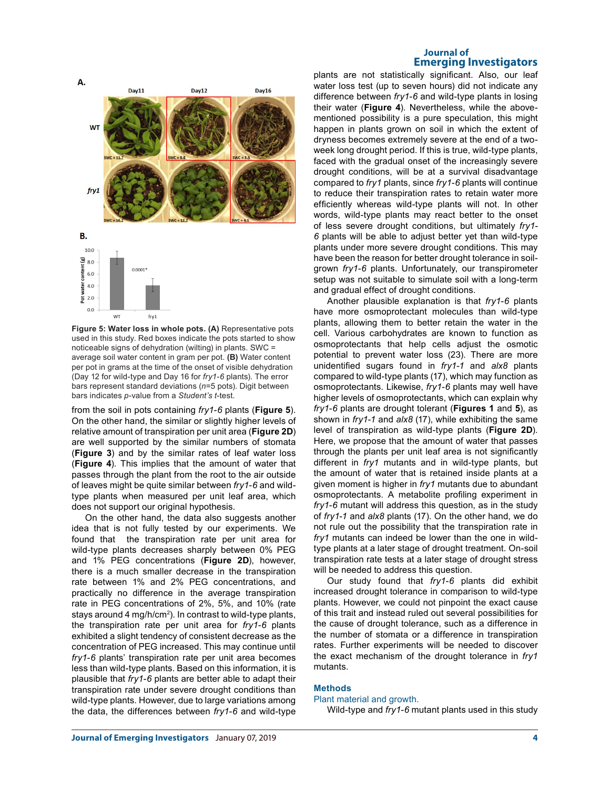

**Figure 5: Water loss in whole pots. (A)** Representative pots used in this study. Red boxes indicate the pots started to show noticeable signs of dehydration (wilting) in plants. SWC = average soil water content in gram per pot. **(B)** Water content per pot in grams at the time of the onset of visible dehydration (Day 12 for wild-type and Day 16 for *fry1-6* plants). The error bars represent standard deviations (*n*=5 pots). Digit between bars indicates *p*-value from a *Student's t*-test.

from the soil in pots containing *fry1-6* plants (**Figure 5**). On the other hand, the similar or slightly higher levels of relative amount of transpiration per unit area (**Figure 2D**) are well supported by the similar numbers of stomata (**Figure 3**) and by the similar rates of leaf water loss (**Figure 4**). This implies that the amount of water that passes through the plant from the root to the air outside of leaves might be quite similar between *fry1-6* and wildtype plants when measured per unit leaf area, which does not support our original hypothesis.

On the other hand, the data also suggests another idea that is not fully tested by our experiments. We found that the transpiration rate per unit area for wild-type plants decreases sharply between 0% PEG and 1% PEG concentrations (**Figure 2D**), however, there is a much smaller decrease in the transpiration rate between 1% and 2% PEG concentrations, and practically no difference in the average transpiration rate in PEG concentrations of 2%, 5%, and 10% (rate stays around 4 mg/h/cm2 ). In contrast to wild-type plants, the transpiration rate per unit area for *fry1-6* plants exhibited a slight tendency of consistent decrease as the concentration of PEG increased. This may continue until *fry1-6* plants' transpiration rate per unit area becomes less than wild-type plants. Based on this information, it is plausible that *fry1-6* plants are better able to adapt their transpiration rate under severe drought conditions than wild-type plants. However, due to large variations among the data, the differences between *fry1-6* and wild-type

# **Journal of Emerging Investigators**

plants are not statistically significant. Also, our leaf water loss test (up to seven hours) did not indicate any difference between *fry1-6* and wild-type plants in losing their water (**Figure 4**). Nevertheless, while the abovementioned possibility is a pure speculation, this might happen in plants grown on soil in which the extent of dryness becomes extremely severe at the end of a twoweek long drought period. If this is true, wild-type plants, faced with the gradual onset of the increasingly severe drought conditions, will be at a survival disadvantage compared to *fry1* plants, since *fry1-6* plants will continue to reduce their transpiration rates to retain water more efficiently whereas wild-type plants will not. In other words, wild-type plants may react better to the onset of less severe drought conditions, but ultimately *fry1- 6* plants will be able to adjust better yet than wild-type plants under more severe drought conditions. This may have been the reason for better drought tolerance in soilgrown *fry1-6* plants. Unfortunately, our transpirometer setup was not suitable to simulate soil with a long-term and gradual effect of drought conditions.

Another plausible explanation is that *fry1-6* plants have more osmoprotectant molecules than wild-type plants, allowing them to better retain the water in the cell. Various carbohydrates are known to function as osmoprotectants that help cells adjust the osmotic potential to prevent water loss (23). There are more unidentified sugars found in *fry1-1* and *alx8* plants compared to wild-type plants (17), which may function as osmoprotectants. Likewise, *fry1-6* plants may well have higher levels of osmoprotectants, which can explain why *fry1-6* plants are drought tolerant (**Figures 1** and **5**), as shown in *fry1-1* and *alx8* (17), while exhibiting the same level of transpiration as wild-type plants (**Figure 2D**). Here, we propose that the amount of water that passes through the plants per unit leaf area is not significantly different in *fry1* mutants and in wild-type plants, but the amount of water that is retained inside plants at a given moment is higher in *fry1* mutants due to abundant osmoprotectants. A metabolite profiling experiment in *fry1-6* mutant will address this question, as in the study of *fry1-1* and *alx8* plants (17). On the other hand, we do not rule out the possibility that the transpiration rate in *fry1* mutants can indeed be lower than the one in wildtype plants at a later stage of drought treatment. On-soil transpiration rate tests at a later stage of drought stress will be needed to address this question.

Our study found that *fry1-6* plants did exhibit increased drought tolerance in comparison to wild-type plants. However, we could not pinpoint the exact cause of this trait and instead ruled out several possibilities for the cause of drought tolerance, such as a difference in the number of stomata or a difference in transpiration rates. Further experiments will be needed to discover the exact mechanism of the drought tolerance in *fry1*  mutants.

# **Methods**

#### Plant material and growth.

Wild-type and *fry1-6* mutant plants used in this study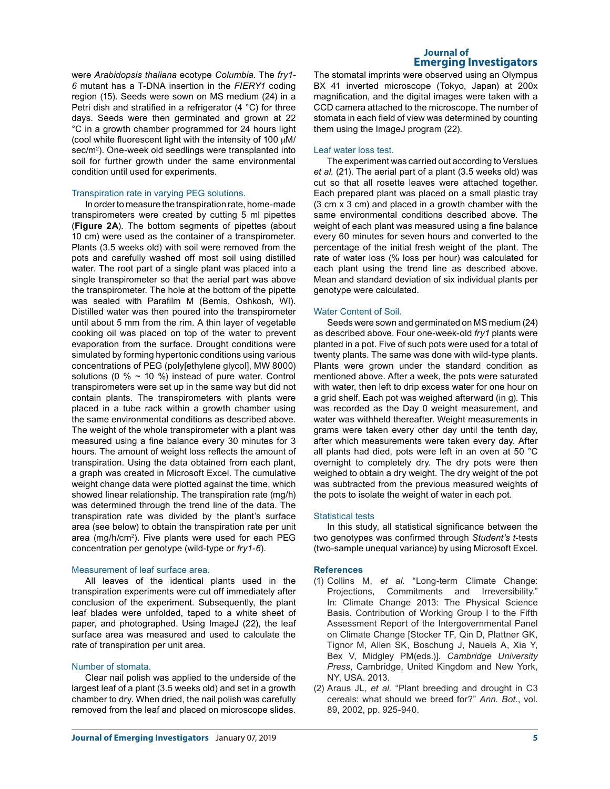were *Arabidopsis thaliana* ecotype *Columbia*. The *fry1- 6* mutant has a T-DNA insertion in the *FIERY1* coding region (15). Seeds were sown on MS medium (24) in a Petri dish and stratified in a refrigerator (4 °C) for three days. Seeds were then germinated and grown at 22 °C in a growth chamber programmed for 24 hours light (cool white fluorescent light with the intensity of 100  $\mu$ M/ sec/m<sup>2</sup>). One-week old seedlings were transplanted into soil for further growth under the same environmental condition until used for experiments.

## Transpiration rate in varying PEG solutions.

In order to measure the transpiration rate, home-made transpirometers were created by cutting 5 ml pipettes (**Figure 2A**). The bottom segments of pipettes (about 10 cm) were used as the container of a transpirometer. Plants (3.5 weeks old) with soil were removed from the pots and carefully washed off most soil using distilled water. The root part of a single plant was placed into a single transpirometer so that the aerial part was above the transpirometer. The hole at the bottom of the pipette was sealed with Parafilm M (Bemis, Oshkosh, WI). Distilled water was then poured into the transpirometer until about 5 mm from the rim. A thin layer of vegetable cooking oil was placed on top of the water to prevent evaporation from the surface. Drought conditions were simulated by forming hypertonic conditions using various concentrations of PEG (poly[ethylene glycol], MW 8000) solutions (0  $%$  ~ 10 %) instead of pure water. Control transpirometers were set up in the same way but did not contain plants. The transpirometers with plants were placed in a tube rack within a growth chamber using the same environmental conditions as described above. The weight of the whole transpirometer with a plant was measured using a fine balance every 30 minutes for 3 hours. The amount of weight loss reflects the amount of transpiration. Using the data obtained from each plant, a graph was created in Microsoft Excel. The cumulative weight change data were plotted against the time, which showed linear relationship. The transpiration rate (mg/h) was determined through the trend line of the data. The transpiration rate was divided by the plant's surface area (see below) to obtain the transpiration rate per unit area (mg/h/cm2 ). Five plants were used for each PEG concentration per genotype (wild-type or *fry1-6*).

# Measurement of leaf surface area.

All leaves of the identical plants used in the transpiration experiments were cut off immediately after conclusion of the experiment. Subsequently, the plant leaf blades were unfolded, taped to a white sheet of paper, and photographed. Using ImageJ (22), the leaf surface area was measured and used to calculate the rate of transpiration per unit area.

### Number of stomata.

Clear nail polish was applied to the underside of the largest leaf of a plant (3.5 weeks old) and set in a growth chamber to dry. When dried, the nail polish was carefully removed from the leaf and placed on microscope slides.

# **Journal of Emerging Investigators**

The stomatal imprints were observed using an Olympus BX 41 inverted microscope (Tokyo, Japan) at 200x magnification, and the digital images were taken with a CCD camera attached to the microscope. The number of stomata in each field of view was determined by counting them using the ImageJ program (22).

### Leaf water loss test.

The experiment was carried out according to Verslues *et al.* (21). The aerial part of a plant (3.5 weeks old) was cut so that all rosette leaves were attached together. Each prepared plant was placed on a small plastic tray (3 cm x 3 cm) and placed in a growth chamber with the same environmental conditions described above. The weight of each plant was measured using a fine balance every 60 minutes for seven hours and converted to the percentage of the initial fresh weight of the plant. The rate of water loss (% loss per hour) was calculated for each plant using the trend line as described above. Mean and standard deviation of six individual plants per genotype were calculated.

### Water Content of Soil.

Seeds were sown and germinated on MS medium (24) as described above. Four one-week-old *fry1* plants were planted in a pot. Five of such pots were used for a total of twenty plants. The same was done with wild-type plants. Plants were grown under the standard condition as mentioned above. After a week, the pots were saturated with water, then left to drip excess water for one hour on a grid shelf. Each pot was weighed afterward (in g). This was recorded as the Day 0 weight measurement, and water was withheld thereafter. Weight measurements in grams were taken every other day until the tenth day, after which measurements were taken every day. After all plants had died, pots were left in an oven at 50 °C overnight to completely dry. The dry pots were then weighed to obtain a dry weight. The dry weight of the pot was subtracted from the previous measured weights of the pots to isolate the weight of water in each pot.

### Statistical tests

In this study, all statistical significance between the two genotypes was confirmed through *Student's t*-tests (two-sample unequal variance) by using Microsoft Excel.

### **References**

- (1) Collins M, *et al.* "Long-term Climate Change: Projections, Commitments and Irreversibility." In: Climate Change 2013: The Physical Science Basis. Contribution of Working Group I to the Fifth Assessment Report of the Intergovernmental Panel on Climate Change [Stocker TF, Qin D, Plattner GK, Tignor M, Allen SK, Boschung J, Nauels A, Xia Y, Bex V, Midgley PM(eds.)]. *Cambridge University Press*, Cambridge, United Kingdom and New York, NY, USA. 2013.
- (2) Araus JL, *et al.* "Plant breeding and drought in C3 cereals: what should we breed for?" *Ann. Bot.*, vol. 89, 2002, pp. 925-940.